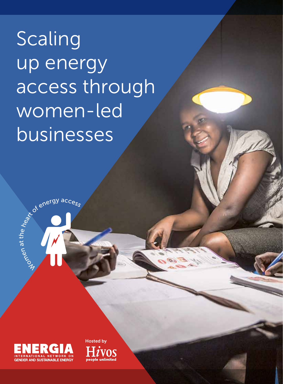Scaling up energy access through women-led businesses



Woch<br>Wom

Lenergy access

a t th  $\overline{\mathbf{e}}$ 

Hosted by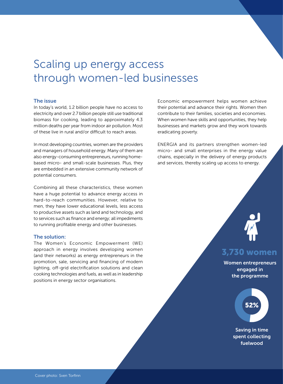# Scaling up energy access through women-led businesses

### The issue

In today's world, 1.2 billion people have no access to electricity and over 2.7 billion people still use traditional biomass for cooking, leading to approximately 4.3 million deaths per year from indoor air pollution. Most of these live in rural and/or difficult to reach areas.

In most developing countries, women are the providers and managers of household energy. Many of them are also energy-consuming entrepreneurs, running homebased micro- and small-scale businesses. Plus, they are embedded in an extensive community network of potential consumers.

Combining all these characteristics, these women have a huge potential to advance energy access in hard-to-reach communities. However, relative to men, they have lower educational levels, less access to productive assets such as land and technology, and to services such as finance and energy; all impediments to running profitable energy and other businesses.

### The solution:

The Women's Economic Empowerment (WE) approach in energy involves developing women (and their networks) as energy entrepreneurs in the promotion, sale, servicing and financing of modern lighting, off-grid electrification solutions and clean cooking technologies and fuels, as well as in leadership positions in energy sector organisations.

Economic empowerment helps women achieve their potential and advance their rights. Women then contribute to their families, societies and economies. When women have skills and opportunities, they help businesses and markets grow and they work towards eradicating poverty.

ENERGIA and its partners strengthen women-led micro- and small enterprises in the energy value chains, especially in the delivery of energy products and services, thereby scaling up access to energy.



### 3.730 women

Women entrepreneurs engaged in the programme



Saving in time spent collecting fuelwood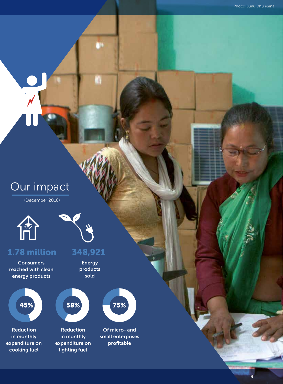3

# Our impact

(December 2016)



Consumers reached with clean energy products

Reduction in monthly expenditure on cooking fuel



a

### 1.78 million 348,921

Energy products sold



in monthly expenditure on lighting fuel



Of micro- and small enterprises profitable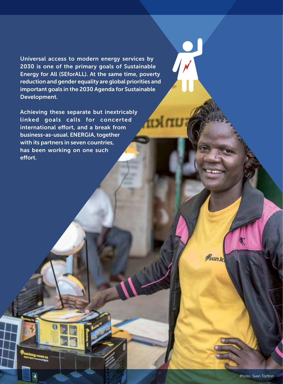Universal access to modern energy services by 2030 is one of the primary goals of Sustainable Energy for All (SEforALL). At the same time, poverty reduction and gender equality are global priorities and important goals in the 2030 Agenda for Sustainable Development.

**TELI** 

Achieving these separate but inextricably linked goals calls for concerted international effort, and a break from business-as-usual. ENERGIA, together with its partners in seven countries, has been working on one such effort.

4

**B**sunk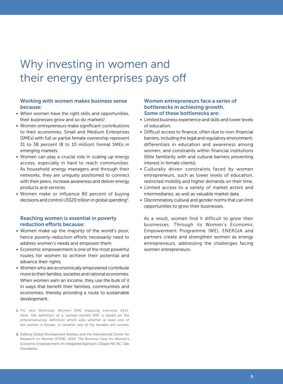# Why investing in women and their energy enterprises pays off

### Working with women makes business sense because:

- When women have the right skills and opportunities, their businesses grow and so do markets<sup>1</sup>.
- Women entrepreneurs make significant contributions to their economies. Small and Medium Enterprises (SMEs) with full or partial female ownership represent 31 to 38 percent (8 to 10 million) formal SMEs in emerging markets.
- Women can play a crucial role in scaling up energy access, especially in hard to reach communities. As household energy managers and through their networks, they are uniquely positioned to connect with their peers, increase awareness and deliver energy products and services.
- Women make or influence 80 percent of buying decisions and control US\$20 trillion in global spending<sup>2</sup>.

### Reaching women is essential in poverty reduction efforts because:

- Women make up the majority of the world's poor, hence poverty-reduction efforts necessarily need to address women's needs and empower them.
- Economic empowerment is one of the most powerful routes for women to achieve their potential and advance their rights.
- Women who are economically empowered contribute more to their families, societies and national economies. When women earn an income, they use the bulk of it in ways that benefit their families, communities and economies, thereby providing a route to sustainable development.
- 1. IFC and McKinsey Women SME mapping exercise 2011. Here, the definition of a woman-owned SME is based on the enterprisesurvey definition which asks whether at least one of the owners is female, or whether any of the females are owners.
- 2. Dalberg Global Development Advisers and the International Center for Research on Women (ICRW). 2014. The Business Case for Women's Economic Empowerment: An Integrated Approach. Chapel Hill, NC: Oak Foundation.

### Women entrepreneurs face a series of bottlenecks in achieving growth. Some of these bottlenecks are:

- Limited business experience and skills and lower levels of education.
- Difficult access to finance, often due to non-financial barriers, including the legal and regulatory environment; differentials in education and awareness among women; and constraints within financial institutions (little familiarity with and cultural barriers preventing interest in female clients).
- Culturally driven constraints faced by women entrepreneurs, such as lower levels of education, restricted mobility and higher demands on their time.
- Limited access to a variety of market actors and intermediaries, as well as valuable market data.
- Discriminatory cultural and gender norms that can limit opportunities to grow their businesses.

As a result, women find it difficult to grow their businesses. Through its Women's Economic Empowerment Programme (WE), ENERGIA and partners create and strengthen women as energy entrepreneurs, addressing the challenges facing women entrepreneurs.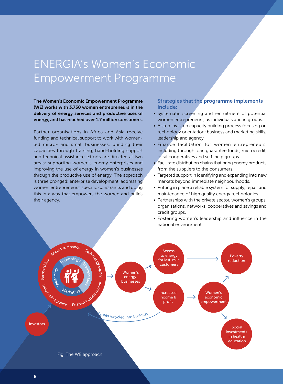# ENERGIA's Women's Economic Empowerment Programme

The Women's Economic Empowerment Programme (WE) works with 3,730 women entrepreneurs in the delivery of energy services and productive uses of energy, and has reached over 1.7 million consumers.

Partner organisations in Africa and Asia receive funding and technical support to work with womenled micro- and small businesses, building their capacities through training, hand-holding support and technical assistance. Efforts are directed at two areas: supporting women's energy enterprises and improving the use of energy in women's businesses through the productive use of energy. The approach is three pronged: enterprise development, addressing women entrepreneurs' specific constraints and doing this in a way that empowers the women and builds their agency.

### Strategies that the programme implements include:

- Systematic screening and recruitment of potential women entrepreneurs, as individuals and in groups.
- A step-by-step capacity building process focusing on technology orientation; business and marketing skills; leadership and agency.
- Finance facilitation for women entrepreneurs, including through loan guarantee funds, microcredit, local cooperatives and self-help groups
- $\bullet$  Facilitate distribution chains that bring energy products from the suppliers to the consumers.
- Targeted support in identifying and expanding into new markets beyond immediate neighbourhoods.
- Putting in place a reliable system for supply, repair and maintenance of high quality energy technologies.
- Partnerships with the private sector, women's groups, organisations, networks, cooperatives and savings and credit groups.
- Fostering women's leadership and influence in the national environment.

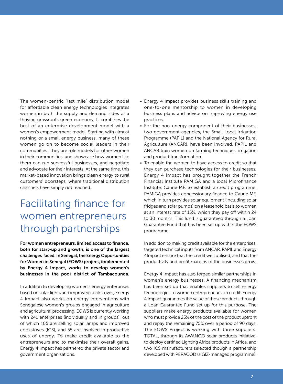The women-centric "last mile" distribution model for affordable clean energy technologies integrates women in both the supply and demand sides of a thriving grassroots green economy. It combines the best of an enterprise development model with a women's empowerment model. Starting with almost nothing or a small energy business, many of these women go on to become social leaders in their communities. They are role models for other women in their communities, and showcase how women like them can run successful businesses, and negotiate and advocate for their interests. At the same time, this market-based innovation brings clean energy to rural customers' doorsteps, where traditional distribution channels have simply not reached.

### Facilitating finance for women entrepreneurs through partnerships

For women entrepreneurs, limited access to finance, both for start-up and growth, is one of the largest challenges faced. In Senegal, the Energy Opportunities for Women in Senegal (EOWS) project, implemented by Energy 4 Impact, works to develop women's businesses in the poor district of Tambacounda.

In addition to developing women's energy enterprises based on solar lights and improved cookstoves, Energy 4 Impact also works on energy interventions with Senegalese women's groups engaged in agriculture and agricultural processing. EOWS is currently working with 241 enterprises (individually and in groups), out of which 105 are selling solar lamps and improved cookstoves (ICS), and 55 are involved in productive uses of energy. To make credit available to the entrepreneurs and to maximise their overall gains, Energy 4 Impact has partnered the private sector and government organisations.

- Energy 4 Impact provides business skills training and one-to-one mentorship to women in developing business plans and advice on improving energy use practices.
- For the non-energy component of their businesses, two government agencies, the Small Local Irrigation Programme (PAPIL) and the National Agency for Rural Agriculture (ANCAR), have been involved. PAPIL and ANCAR train women on farming techniques, irrigation and product transformation.
- To enable the women to have access to credit so that they can purchase technologies for their businesses, Energy 4 Impact has brought together the French Financial Institute PAMIGA and a local Microfinance Institute, Caurie MF, to establish a credit programme. PAMIGA provides concessionary finance to Caurie MF, which in turn provides solar equipment (including solar fridges and solar pumps) on a leasehold basis to women at an interest rate of 15%, which they pay off within 24 to 30 months. This fund is guaranteed through a Loan Guarantee Fund that has been set up within the EOWS programme.

In addition to making credit available for the enterprises, targeted technical inputs from ANCAR, PAPIL and Energy 4Impact ensure that the credit well utilised, and that the productivity and profit margins of the businesses grow.

Energy 4 Impact has also forged similar partnerships in women's energy businesses. A financing mechanism has been set up that enables suppliers to sell energy technologies to women entrepreneurs on credit. Energy 4 Impact guarantees the value of those products through a Loan Guarantee Fund set up for this purpose. The suppliers make energy products available for women who must provide 25% of the cost of the product upfront and repay the remaining 75% over a period of 90 days. The EOWS Project is working with three suppliers: TOTAL, through its AWANGO solar products initiative, to deploy certified Lighting Africa products in Africa, and two ICS manufacturers selected though a partnership developed with PERACOD (a GIZ-managed programme).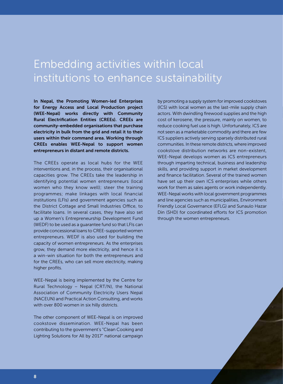# Embedding activities within local institutions to enhance sustainability

In Nepal, the Promoting Women-led Enterprises for Energy Access and Local Production project (WEE-Nepal) works directly with Community Rural Electrification Entities (CREEs). CREEs are community-embedded organisations that purchase electricity in bulk from the grid and retail it to their users within their command area. Working through CREEs enables WEE-Nepal to support women entrepreneurs in distant and remote districts.

The CREEs operate as local hubs for the WEE interventions and, in the process, their organisational capacities grow. The CREEs take the leadership in identifying potential women entrepreneurs (local women who they know well); steer the training programmes; make linkages with local financial institutions (LFIs) and government agencies such as the District Cottage and Small Industries Office, to facilitate loans. In several cases, they have also set up a Women's Entrepreneurship Development Fund (WEDF) to be used as a guarantee fund so that LFIs can provide concessional loans to CREE-supported women entrepreneurs. WEDF is also used for building the capacity of women entrepreneurs. As the enterprises grow, they demand more electricity, and hence it is a win-win situation for both the entrepreneurs and for the CREEs, who can sell more electricity, making higher profits.

WEE-Nepal is being implemented by the Centre for Rural Technology – Nepal (CRT/N), the National Association of Community Electricity Users Nepal (NACEUN) and Practical Action Consulting, and works with over 800 women in six hilly districts.

The other component of WEE-Nepal is on improved cookstove dissemination. WEE-Nepal has been contributing to the government's "Clean Cooking and Lighting Solutions for All by 2017" national campaign by promoting a supply system for improved cookstoves (ICS) with local women as the last-mile supply chain actors. With dwindling firewood supplies and the high cost of kerosene, the pressure, mainly on women, to reduce cooking fuel use is high. Unfortunately, ICS are not seen as a marketable commodity and there are few ICS suppliers actively serving sparsely distributed rural communities. In these remote districts, where improved cookstove distribution networks are non-existent, WEE-Nepal develops women as ICS entrepreneurs through imparting technical, business and leadership skills, and providing support in market development and finance facilitation. Several of the trained women have set up their own ICS enterprises while others work for them as sales agents or work independently. WEE-Nepal works with local government programmes and line agencies such as municipalities, Environment Friendly Local Governance (EFLG) and Sunaulo Hazar Din (SHD) for coordinated efforts for ICS promotion through the women entrepreneurs.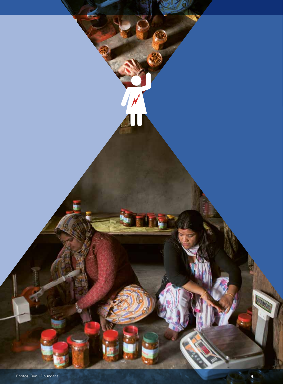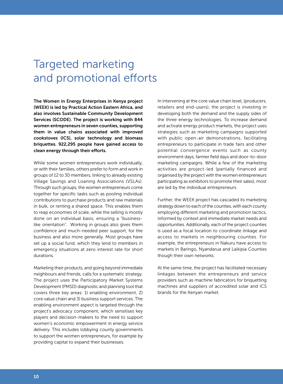# Targeted marketing and promotional efforts

The Women in Energy Enterprises in Kenya project (WEEK) is led by Practical Action Eastern Africa, and also involves Sustainable Community Development Services (SCODE). The project is working with 844 women entrepreneurs in seven counties, supporting them in value chains associated with improved cookstoves (ICS), solar technology and biomass briquettes. 922,295 people have gained access to clean energy through their efforts.

While some women entrepreneurs work individually, or with their families, others prefer to form and work in groups of 12 to 30 members, linking to already existing Village Savings and Loaning Associations (VSLAs). Through such groups, the women entrepreneurs come together for specific tasks such as pooling individual contributions to purchase products and raw materials in bulk, or renting a shared space. This enables them to reap economies of scale, while the selling is mostly done on an individual basis, ensuring a "businesslike orientation". Working in groups also gives them confidence and much-needed peer support, for the business and also more generally. Most groups have set up a social fund, which they lend to members in emergency situations at zero interest rate for short durations.

Marketing their products, and going beyond immediate neighbours and friends, calls for a systematic strategy. The project uses the Participatory Market Systems Development (PMSD) diagnostic and planning tool that covers three key areas: 1) enabling environment, 2) core value chain and 3) business support services. The enabling environment aspect is targeted through the project's advocacy component, which sensitises key players and decision-makers to the need to support women's economic empowerment in energy service delivery. This includes lobbying county governments to support the women entrepreneurs, for example by providing capital to expand their businesses.

In intervening at the core value chain level, (producers, retailers and end-users), the project is investing in developing both the demand and the supply sides of the three energy technologies. To increase demand and activate energy product markets, the project uses strategies such as marketing campaigns supported with public open-air demonstrations, facilitating entrepreneurs to participate in trade fairs and other potential convergence events such as county environment days, farmer field days and door-to-door marketing campaigns. While a few of the marketing activities are project-led (partially financed and organised by the project with the women entrepreneurs participating as exhibitors to promote their sales), most are led by the individual entrepreneurs.

Further, the WEEK project has cascaded its marketing strategy down to each of the counties, with each county employing different marketing and promotion tactics, informed by context and immediate market needs and opportunities. Additionally, each of the project counties is used as a focal location to coordinate linkage and access to markets in neighbouring counties. For example, the entrepreneurs in Nakuru have access to markets in Baringo, Nyandarua and Laikipia Counties though their own networks.

At the same time, the project has facilitated necessary linkages between the entrepreneurs and service providers such as machine fabricators for briquetting machines and suppliers of accredited solar and ICS brands for the Kenyan market.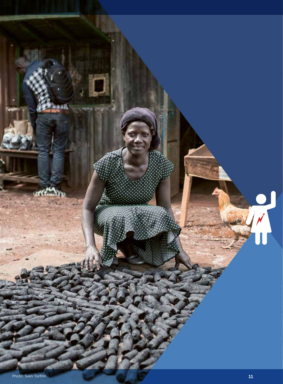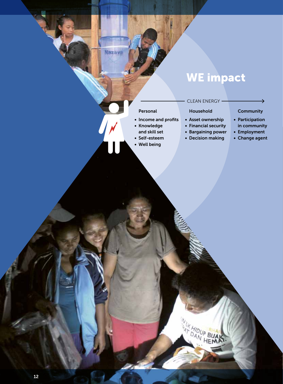# WE impact

Household • Asset ownership • Financial security • Bargaining power • Decision making

AN HOUP BUAK

CLEAN ENERGY

### Personal

### • Income and profits

- • Knowledge
- and skill set

Nazava

- • Self-esteem
- • Well being

#### **Community**

د

- • Participation in community
- • Employment
- Change agent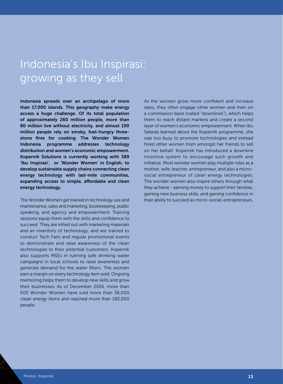# Indonesia's Ibu Inspirasi: growing as they sell

Indonesia spreads over an archipelago of more than 17,000 islands. This geography make energy access a huge challenge. Of its total population of approximately 260 million people, more than 80 million live without electricity, and almost 100 million people rely on smoky, fuel-hungry threestone fires for cooking. The Wonder Women Indonesia programme addresses technology distribution and women's economic empowerment. Kopernik Solutions is currently working with 389 'Ibu Inspirasi', or 'Wonder Women' in English, to develop sustainable supply chains connecting clean energy technology with last-mile communities, expanding access to simple, affordable and clean energy technology.

The Wonder Women get trained in technology use and maintenance, sales and marketing, bookkeeping, public speaking, and agency and empowerment. Training sessions equip them with the skills and confidence to succeed. They are kitted out with marketing materials and an inventory of technology, and are trained to conduct Tech Fairs and regular promotional events to demonstrate and raise awareness of the clean technologies to their potential customers. Kopernik also supports MSEs in running safe drinking water campaigns in local schools to raise awareness and generate demand for the water filters. The women earn a margin on every technology item sold. Ongoing mentoring helps them to develop new skills and grow their businesses. As of December 2016, more than 500 Wonder Women have sold more than 36,000 clean energy items and reached more than 180,000 people.

As the women grow more confident and increase sales, they often engage other women and men on a commission basis (called "downlines"), which helps them to reach distant markets and create a second layer of women's economic empowerment. When Ibu Sekeda learned about the Kopernik programme, she was too busy to promote technologies and instead hired other women from amongst her friends to sell on her behalf. Kopernik has introduced a downline incentive system to encourage such growth and initiative. Most wonder women play multiple roles as a mother, wife, teacher, entrepreneur, and also a microsocial entrepreneur of clean energy technologies. The wonder women also inspire others through what they achieve - earning money to support their families, gaining new business skills, and gaining confidence in their ability to succeed as micro-social-entrepreneurs.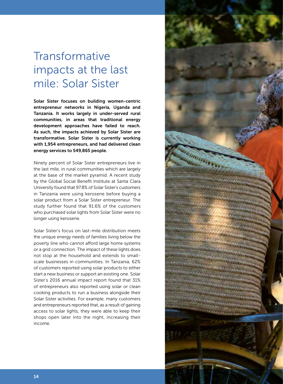# Transformative impacts at the last mile: Solar Sister

Solar Sister focuses on building women-centric entrepreneur networks in Nigeria, Uganda and Tanzania. It works largely in under-served rural communities, in areas that traditional energy development approaches have failed to reach. As such, the impacts achieved by Solar Sister are transformative. Solar Sister is currently working with 1,954 entrepreneurs, and had delivered clean energy services to 549,865 people.

Ninety percent of Solar Sister entrepreneurs live in the last mile, in rural communities which are largely at the base of the market pyramid. A recent study by the Global Social Benefit Institute at Santa Clara University found that 97.8% of Solar Sister's customers in Tanzania were using kerosene before buying a solar product from a Solar Sister entrepreneur. The study further found that 91.6% of the customers who purchased solar lights from Solar Sister were no longer using kerosene.

Solar Sister's focus on last-mile distribution meets the unique energy needs of families living below the poverty line who cannot afford large home systems or a grid connection. The impact of these lights does not stop at the household and extends to smallscale businesses in communities. In Tanzania, 62% of customers reported using solar products to either start a new business or support an existing one. Solar Sister's 2016 annual impact report found that 31% of entrepreneurs also reported using solar or clean cooking products to run a business alongside their Solar Sister activities. For example, many customers and entrepreneurs reported that, as a result of gaining access to solar lights, they were able to keep their shops open later into the night, increasing their income.

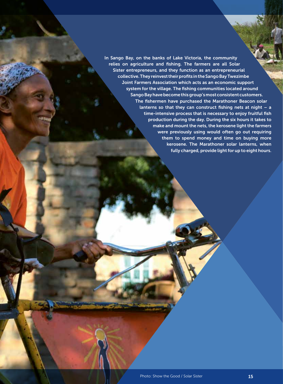In Sango Bay, on the banks of Lake Victoria, the community relies on agriculture and fishing. The farmers are all Solar Sister entrepreneurs, and they function as an entrepreneurial collective. They reinvest their profits in the Sango Bay Twezimbe Joint Farmers Association which acts as an economic support system for the village. The fishing communities located around Sango Bay have become this group's most consistent customers. The fishermen have purchased the Marathoner Beacon solar lanterns so that they can construct fishing nets at night  $-$  a time-intensive process that is necessary to enjoy fruitful fish production during the day. During the six hours it takes to make and mount the nets, the kerosene light the farmers were previously using would often go out requiring them to spend money and time on buying more kerosene. The Marathoner solar lanterns, when fully charged, provide light for up to eight hours.